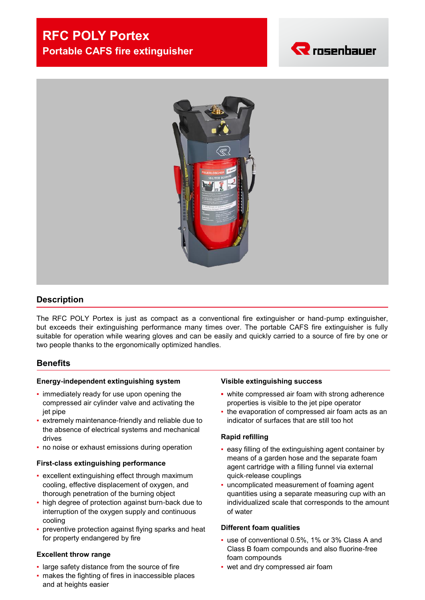# **RFC POLY Portex Portable CAFS fire extinguisher**





# **Description**

The RFC POLY Portex is just as compact as a conventional fire extinguisher or hand-pump extinguisher, but exceeds their extinguishing performance many times over. The portable CAFS fire extinguisher is fully suitable for operation while wearing gloves and can be easily and quickly carried to a source of fire by one or two people thanks to the ergonomically optimized handles.

#### **Benefits**

#### **Energy-independent extinguishing system**

- immediately ready for use upon opening the compressed air cylinder valve and activating the jet pipe
- extremely maintenance-friendly and reliable due to the absence of electrical systems and mechanical drives
- no noise or exhaust emissions during operation

#### **First-class extinguishing performance**

- **EXCELLENT EXTERUISHING EFFECT THROUGH MAXIMUM** cooling, effective displacement of oxygen, and thorough penetration of the burning object
- high degree of protection against burn-back due to interruption of the oxygen supply and continuous cooling
- preventive protection against flying sparks and heat for property endangered by fire

#### **Excellent throw range**

- large safety distance from the source of fire
- makes the fighting of fires in inaccessible places and at heights easier

#### **Visible extinguishing success**

- **▪** white compressed air foam with strong adherence properties is visible to the jet pipe operator
- the evaporation of compressed air foam acts as an indicator of surfaces that are still too hot

#### **Rapid refilling**

- easy filling of the extinguishing agent container by means of a garden hose and the separate foam agent cartridge with a filling funnel via external quick-release couplings
- uncomplicated measurement of foaming agent quantities using a separate measuring cup with an individualized scale that corresponds to the amount of water

#### **Different foam qualities**

- use of conventional 0.5%, 1% or 3% Class A and Class B foam compounds and also fluorine-free foam compounds
- wet and dry compressed air foam